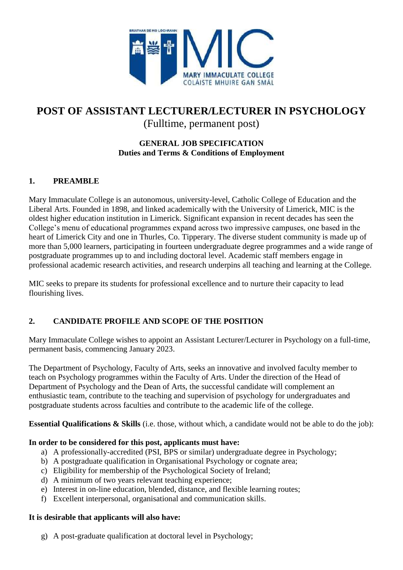

# **POST OF ASSISTANT LECTURER/LECTURER IN PSYCHOLOGY** (Fulltime, permanent post)

### **GENERAL JOB SPECIFICATION Duties and Terms & Conditions of Employment**

# **1. PREAMBLE**

Mary Immaculate College is an autonomous, university-level, Catholic College of Education and the Liberal Arts. Founded in 1898, and linked academically with the University of Limerick, MIC is the oldest higher education institution in Limerick. Significant expansion in recent decades has seen the College's menu of educational programmes expand across two impressive campuses, one based in the heart of Limerick City and one in Thurles, Co. Tipperary. The diverse student community is made up of more than 5,000 learners, participating in fourteen undergraduate degree programmes and a wide range of postgraduate programmes up to and including doctoral level. Academic staff members engage in professional academic research activities, and research underpins all teaching and learning at the College.

MIC seeks to prepare its students for professional excellence and to nurture their capacity to lead flourishing lives.

## **2. CANDIDATE PROFILE AND SCOPE OF THE POSITION**

Mary Immaculate College wishes to appoint an Assistant Lecturer/Lecturer in Psychology on a full-time, permanent basis, commencing January 2023.

The Department of Psychology, Faculty of Arts, seeks an innovative and involved faculty member to teach on Psychology programmes within the Faculty of Arts. Under the direction of the Head of Department of Psychology and the Dean of Arts, the successful candidate will complement an enthusiastic team, contribute to the teaching and supervision of psychology for undergraduates and postgraduate students across faculties and contribute to the academic life of the college.

**Essential Qualifications & Skills** (i.e. those, without which, a candidate would not be able to do the job):

### **In order to be considered for this post, applicants must have:**

- a) A professionally-accredited (PSI, BPS or similar) undergraduate degree in Psychology;
- b) A postgraduate qualification in Organisational Psychology or cognate area;
- c) Eligibility for membership of the Psychological Society of Ireland;
- d) A minimum of two years relevant teaching experience;
- e) Interest in on-line education, blended, distance, and flexible learning routes;
- f) Excellent interpersonal, organisational and communication skills.

### **It is desirable that applicants will also have:**

g) A post-graduate qualification at doctoral level in Psychology;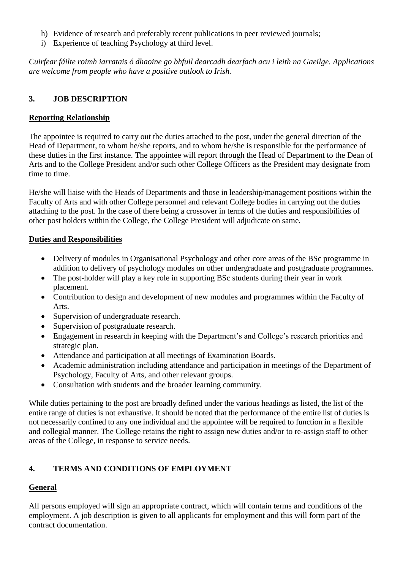- h) Evidence of research and preferably recent publications in peer reviewed journals;
- i) Experience of teaching Psychology at third level.

*Cuirfear fáilte roimh iarratais ó dhaoine go bhfuil dearcadh dearfach acu i leith na Gaeilge. Applications are welcome from people who have a positive outlook to Irish.*

### **3. JOB DESCRIPTION**

#### **Reporting Relationship**

The appointee is required to carry out the duties attached to the post, under the general direction of the Head of Department, to whom he/she reports, and to whom he/she is responsible for the performance of these duties in the first instance. The appointee will report through the Head of Department to the Dean of Arts and to the College President and/or such other College Officers as the President may designate from time to time.

He/she will liaise with the Heads of Departments and those in leadership/management positions within the Faculty of Arts and with other College personnel and relevant College bodies in carrying out the duties attaching to the post. In the case of there being a crossover in terms of the duties and responsibilities of other post holders within the College, the College President will adjudicate on same.

#### **Duties and Responsibilities**

- Delivery of modules in Organisational Psychology and other core areas of the BSc programme in addition to delivery of psychology modules on other undergraduate and postgraduate programmes.
- The post-holder will play a key role in supporting BSc students during their year in work placement.
- Contribution to design and development of new modules and programmes within the Faculty of Arts.
- Supervision of undergraduate research.
- Supervision of postgraduate research.
- Engagement in research in keeping with the Department's and College's research priorities and strategic plan.
- Attendance and participation at all meetings of Examination Boards.
- Academic administration including attendance and participation in meetings of the Department of Psychology, Faculty of Arts, and other relevant groups.
- Consultation with students and the broader learning community.

While duties pertaining to the post are broadly defined under the various headings as listed, the list of the entire range of duties is not exhaustive. It should be noted that the performance of the entire list of duties is not necessarily confined to any one individual and the appointee will be required to function in a flexible and collegial manner. The College retains the right to assign new duties and/or to re-assign staff to other areas of the College, in response to service needs.

## **4. TERMS AND CONDITIONS OF EMPLOYMENT**

## **General**

All persons employed will sign an appropriate contract, which will contain terms and conditions of the employment. A job description is given to all applicants for employment and this will form part of the contract documentation.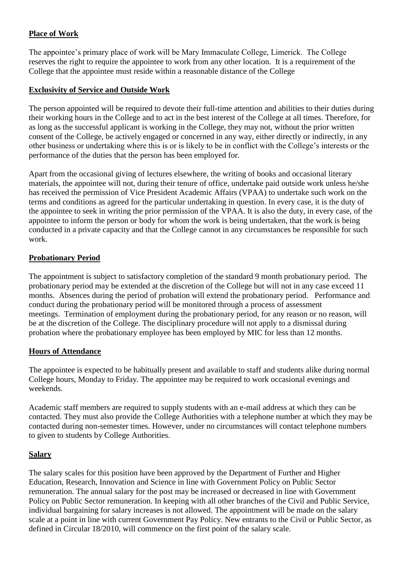### **Place of Work**

The appointee's primary place of work will be Mary Immaculate College, Limerick. The College reserves the right to require the appointee to work from any other location. It is a requirement of the College that the appointee must reside within a reasonable distance of the College

#### **Exclusivity of Service and Outside Work**

The person appointed will be required to devote their full-time attention and abilities to their duties during their working hours in the College and to act in the best interest of the College at all times. Therefore, for as long as the successful applicant is working in the College, they may not, without the prior written consent of the College, be actively engaged or concerned in any way, either directly or indirectly, in any other business or undertaking where this is or is likely to be in conflict with the College's interests or the performance of the duties that the person has been employed for.

Apart from the occasional giving of lectures elsewhere, the writing of books and occasional literary materials, the appointee will not, during their tenure of office, undertake paid outside work unless he/she has received the permission of Vice President Academic Affairs (VPAA) to undertake such work on the terms and conditions as agreed for the particular undertaking in question. In every case, it is the duty of the appointee to seek in writing the prior permission of the VPAA. It is also the duty, in every case, of the appointee to inform the person or body for whom the work is being undertaken, that the work is being conducted in a private capacity and that the College cannot in any circumstances be responsible for such work.

### **Probationary Period**

The appointment is subject to satisfactory completion of the standard 9 month probationary period. The probationary period may be extended at the discretion of the College but will not in any case exceed 11 months. Absences during the period of probation will extend the probationary period. Performance and conduct during the probationary period will be monitored through a process of assessment meetings. Termination of employment during the probationary period, for any reason or no reason, will be at the discretion of the College. The disciplinary procedure will not apply to a dismissal during probation where the probationary employee has been employed by MIC for less than 12 months.

### **Hours of Attendance**

The appointee is expected to be habitually present and available to staff and students alike during normal College hours, Monday to Friday. The appointee may be required to work occasional evenings and weekends.

Academic staff members are required to supply students with an e-mail address at which they can be contacted. They must also provide the College Authorities with a telephone number at which they may be contacted during non-semester times. However, under no circumstances will contact telephone numbers to given to students by College Authorities.

#### **Salary**

The salary scales for this position have been approved by the Department of Further and Higher Education, Research, Innovation and Science in line with Government Policy on Public Sector remuneration. The annual salary for the post may be increased or decreased in line with Government Policy on Public Sector remuneration. In keeping with all other branches of the Civil and Public Service, individual bargaining for salary increases is not allowed. The appointment will be made on the salary scale at a point in line with current Government Pay Policy. New entrants to the Civil or Public Sector, as defined in Circular 18/2010, will commence on the first point of the salary scale.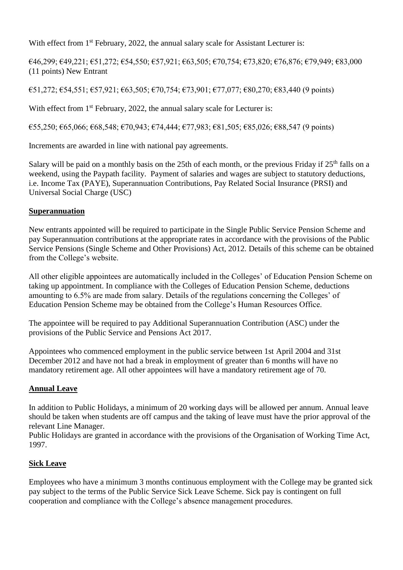With effect from 1<sup>st</sup> February, 2022, the annual salary scale for Assistant Lecturer is:

€46,299; €49,221; €51,272; €54,550; €57,921; €63,505; €70,754; €73,820; €76,876; €79,949; €83,000 (11 points) New Entrant

 $€51,272;$  €54,551; €57,921; €63,505; €70,754; €73,901; €77,077; €80,270; €83,440 (9 points)

With effect from  $1<sup>st</sup>$  February, 2022, the annual salary scale for Lecturer is:

 $€55,250; €65,066; €68,548; €70,943; €74,444; €77,983; €81,505; €85,026; €88,547 (9 points)$ 

Increments are awarded in line with national pay agreements.

Salary will be paid on a monthly basis on the 25th of each month, or the previous Friday if 25<sup>th</sup> falls on a weekend, using the Paypath facility. Payment of salaries and wages are subject to statutory deductions, i.e. Income Tax (PAYE), Superannuation Contributions, Pay Related Social Insurance (PRSI) and Universal Social Charge (USC)

### **Superannuation**

New entrants appointed will be required to participate in the Single Public Service Pension Scheme and pay Superannuation contributions at the appropriate rates in accordance with the provisions of the Public Service Pensions (Single Scheme and Other Provisions) Act, 2012. Details of this scheme can be obtained from the College's website.

All other eligible appointees are automatically included in the Colleges' of Education Pension Scheme on taking up appointment. In compliance with the Colleges of Education Pension Scheme, deductions amounting to 6.5% are made from salary. Details of the regulations concerning the Colleges' of Education Pension Scheme may be obtained from the College's Human Resources Office.

The appointee will be required to pay Additional Superannuation Contribution (ASC) under the provisions of the Public Service and Pensions Act 2017.

Appointees who commenced employment in the public service between 1st April 2004 and 31st December 2012 and have not had a break in employment of greater than 6 months will have no mandatory retirement age. All other appointees will have a mandatory retirement age of 70.

## **Annual Leave**

In addition to Public Holidays, a minimum of 20 working days will be allowed per annum. Annual leave should be taken when students are off campus and the taking of leave must have the prior approval of the relevant Line Manager.

Public Holidays are granted in accordance with the provisions of the Organisation of Working Time Act, 1997.

## **Sick Leave**

Employees who have a minimum 3 months continuous employment with the College may be granted sick pay subject to the terms of the Public Service Sick Leave Scheme. Sick pay is contingent on full cooperation and compliance with the College's absence management procedures.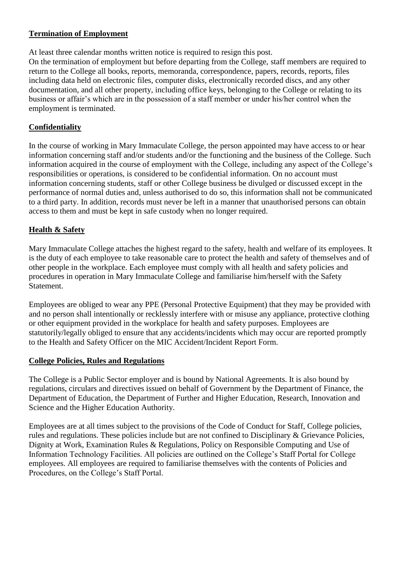### **Termination of Employment**

At least three calendar months written notice is required to resign this post.

On the termination of employment but before departing from the College, staff members are required to return to the College all books, reports, memoranda, correspondence, papers, records, reports, files including data held on electronic files, computer disks, electronically recorded discs, and any other documentation, and all other property, including office keys, belonging to the College or relating to its business or affair's which are in the possession of a staff member or under his/her control when the employment is terminated.

### **Confidentiality**

In the course of working in Mary Immaculate College, the person appointed may have access to or hear information concerning staff and/or students and/or the functioning and the business of the College. Such information acquired in the course of employment with the College, including any aspect of the College's responsibilities or operations, is considered to be confidential information. On no account must information concerning students, staff or other College business be divulged or discussed except in the performance of normal duties and, unless authorised to do so, this information shall not be communicated to a third party. In addition, records must never be left in a manner that unauthorised persons can obtain access to them and must be kept in safe custody when no longer required.

### **Health & Safety**

Mary Immaculate College attaches the highest regard to the safety, health and welfare of its employees. It is the duty of each employee to take reasonable care to protect the health and safety of themselves and of other people in the workplace. Each employee must comply with all health and safety policies and procedures in operation in Mary Immaculate College and familiarise him/herself with the Safety Statement.

Employees are obliged to wear any PPE (Personal Protective Equipment) that they may be provided with and no person shall intentionally or recklessly interfere with or misuse any appliance, protective clothing or other equipment provided in the workplace for health and safety purposes. Employees are statutorily/legally obliged to ensure that any accidents/incidents which may occur are reported promptly to the Health and Safety Officer on the MIC Accident/Incident Report Form.

### **College Policies, Rules and Regulations**

The College is a Public Sector employer and is bound by National Agreements. It is also bound by regulations, circulars and directives issued on behalf of Government by the Department of Finance, the Department of Education, the Department of Further and Higher Education, Research, Innovation and Science and the Higher Education Authority.

Employees are at all times subject to the provisions of the Code of Conduct for Staff, College policies, rules and regulations. These policies include but are not confined to Disciplinary & Grievance Policies, Dignity at Work, Examination Rules & Regulations, Policy on Responsible Computing and Use of Information Technology Facilities. All policies are outlined on the College's Staff Portal for College employees. All employees are required to familiarise themselves with the contents of Policies and Procedures, on the College's Staff Portal.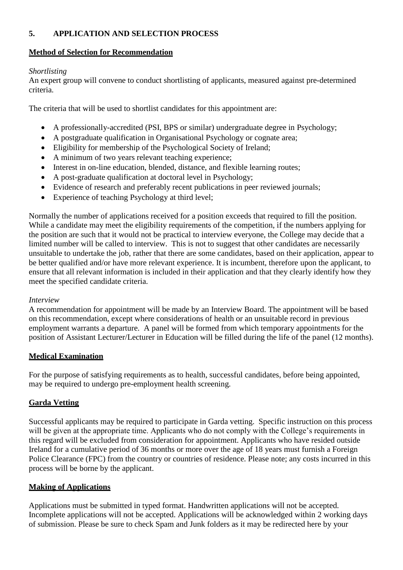## **5. APPLICATION AND SELECTION PROCESS**

#### **Method of Selection for Recommendation**

#### *Shortlisting*

An expert group will convene to conduct shortlisting of applicants, measured against pre-determined criteria.

The criteria that will be used to shortlist candidates for this appointment are:

- A professionally-accredited (PSI, BPS or similar) undergraduate degree in Psychology;
- A postgraduate qualification in Organisational Psychology or cognate area;
- Eligibility for membership of the Psychological Society of Ireland;
- A minimum of two years relevant teaching experience;
- Interest in on-line education, blended, distance, and flexible learning routes;
- A post-graduate qualification at doctoral level in Psychology;
- Evidence of research and preferably recent publications in peer reviewed journals;
- Experience of teaching Psychology at third level;

Normally the number of applications received for a position exceeds that required to fill the position. While a candidate may meet the eligibility requirements of the competition, if the numbers applying for the position are such that it would not be practical to interview everyone, the College may decide that a limited number will be called to interview. This is not to suggest that other candidates are necessarily unsuitable to undertake the job, rather that there are some candidates, based on their application, appear to be better qualified and/or have more relevant experience. It is incumbent, therefore upon the applicant, to ensure that all relevant information is included in their application and that they clearly identify how they meet the specified candidate criteria.

#### *Interview*

A recommendation for appointment will be made by an Interview Board. The appointment will be based on this recommendation, except where considerations of health or an unsuitable record in previous employment warrants a departure. A panel will be formed from which temporary appointments for the position of Assistant Lecturer/Lecturer in Education will be filled during the life of the panel (12 months).

### **Medical Examination**

For the purpose of satisfying requirements as to health, successful candidates, before being appointed, may be required to undergo pre-employment health screening.

### **Garda Vetting**

Successful applicants may be required to participate in Garda vetting. Specific instruction on this process will be given at the appropriate time. Applicants who do not comply with the College's requirements in this regard will be excluded from consideration for appointment. Applicants who have resided outside Ireland for a cumulative period of 36 months or more over the age of 18 years must furnish a Foreign Police Clearance (FPC) from the country or countries of residence. Please note; any costs incurred in this process will be borne by the applicant.

### **Making of Applications**

Applications must be submitted in typed format. Handwritten applications will not be accepted. Incomplete applications will not be accepted. Applications will be acknowledged within 2 working days of submission. Please be sure to check Spam and Junk folders as it may be redirected here by your